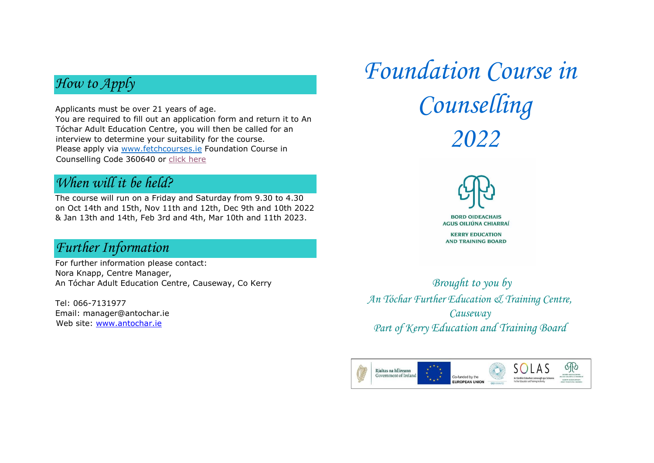# *How to Apply*

Applicants must be over 21 years of age.

You are required to fill out an application form and return it to An Tóchar Adult Education Centre, you will then be called for an interview to determine your suitability for the course. Please apply via [www.fetchcourses.ie](http://www.fetchcourses.ie/) Foundation Course in Counselling Code 360640 or [click here](https://www.fetchcourses.ie/course/finder?sfcw-courseId=360640)

## *When will it be held?*

The course will run on a Friday and Saturday from 9.30 to 4.30 on Oct 14th and 15th, Nov 11th and 12th, Dec 9th and 10th 2022 & Jan 13th and 14th, Feb 3rd and 4th, Mar 10th and 11th 2023.

#### *Further Information*

For further information please contact: Nora Knapp, Centre Manager, An Tóchar Adult Education Centre, Causeway, Co Kerry

Tel: 066-7131977 Email: manager@antochar.ie Web site: [www.antochar.ie](http://www.antochar.ie/)

*Foundation Course in Counselling 2022*



*Brought to you by An Tóchar Further Education & Training Centre, Causeway Part of Kerry Education and Training Board*